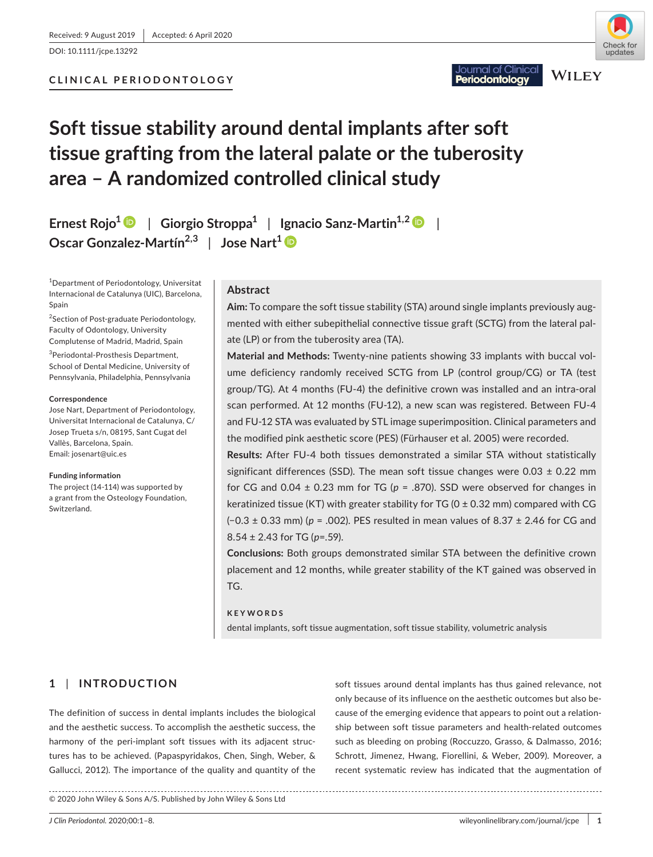DOI: 10.1111/jcpe.13292



**WILEY** 

lournal of Clinical

eriodontoloav

# **Soft tissue stability around dental implants after soft tissue grafting from the lateral palate or the tuberosity area – A randomized controlled clinical study**

**Ernest Rojo[1](https://orcid.org/0000-0002-7747-8024)** | **Giorgio Stroppa1** | **Ignacio Sanz-Martin1,2** | **Oscar Gonzalez-Martín2,3** | **Jose Nart[1](https://orcid.org/0000-0002-2363-4992)**

1 Department of Periodontology, Universitat Internacional de Catalunya (UIC), Barcelona, Spain

<sup>2</sup>Section of Post-graduate Periodontology, Faculty of Odontology, University Complutense of Madrid, Madrid, Spain

3 Periodontal-Prosthesis Department, School of Dental Medicine, University of Pennsylvania, Philadelphia, Pennsylvania

#### **Correspondence**

Jose Nart, Department of Periodontology, Universitat Internacional de Catalunya, C/ Josep Trueta s/n, 08195, Sant Cugat del Vallès, Barcelona, Spain. Email: [josenart@uic.es](mailto:josenart@uic.es)

#### **Funding information**

The project (14-114) was supported by a grant from the Osteology Foundation, Switzerland.

#### **Abstract**

**Aim:** To compare the soft tissue stability (STA) around single implants previously augmented with either subepithelial connective tissue graft (SCTG) from the lateral palate (LP) or from the tuberosity area (TA).

**Material and Methods:** Twenty-nine patients showing 33 implants with buccal volume deficiency randomly received SCTG from LP (control group/CG) or TA (test group/TG). At 4 months (FU-4) the definitive crown was installed and an intra-oral scan performed. At 12 months (FU-12), a new scan was registered. Between FU-4 and FU-12 STA was evaluated by STL image superimposition. Clinical parameters and the modified pink aesthetic score (PES) (Fürhauser et al. 2005) were recorded.

**Results:** After FU-4 both tissues demonstrated a similar STA without statistically significant differences (SSD). The mean soft tissue changes were  $0.03 \pm 0.22$  mm for CG and  $0.04 \pm 0.23$  mm for TG ( $p = .870$ ). SSD were observed for changes in keratinized tissue (KT) with greater stability for TG (0  $\pm$  0.32 mm) compared with CG (−0.3 ± 0.33 mm) (*p* = .002). PES resulted in mean values of 8.37 ± 2.46 for CG and 8.54 ± 2.43 for TG (*p*=.59).

**Conclusions:** Both groups demonstrated similar STA between the definitive crown placement and 12 months, while greater stability of the KT gained was observed in TG.

### **KEYWORDS**

dental implants, soft tissue augmentation, soft tissue stability, volumetric analysis

### **1** | **INTRODUCTION**

The definition of success in dental implants includes the biological and the aesthetic success. To accomplish the aesthetic success, the harmony of the peri-implant soft tissues with its adjacent structures has to be achieved. (Papaspyridakos, Chen, Singh, Weber, & Gallucci, 2012). The importance of the quality and quantity of the

soft tissues around dental implants has thus gained relevance, not only because of its influence on the aesthetic outcomes but also because of the emerging evidence that appears to point out a relationship between soft tissue parameters and health-related outcomes such as bleeding on probing (Roccuzzo, Grasso, & Dalmasso, 2016; Schrott, Jimenez, Hwang, Fiorellini, & Weber, 2009). Moreover, a recent systematic review has indicated that the augmentation of

© 2020 John Wiley & Sons A/S. Published by John Wiley & Sons Ltd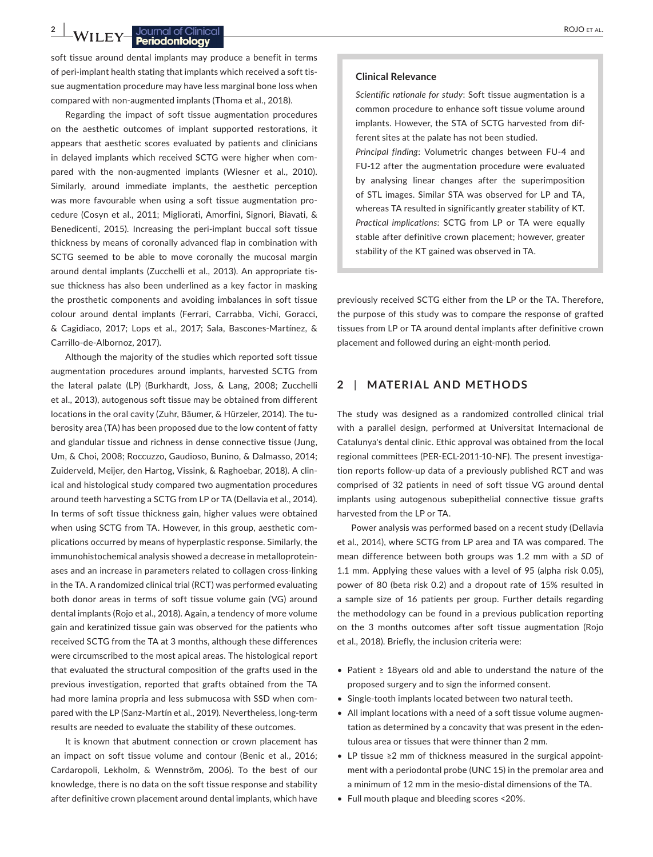## **2 |**  ROJO et al.

soft tissue around dental implants may produce a benefit in terms of peri-implant health stating that implants which received a soft tissue augmentation procedure may have less marginal bone loss when compared with non-augmented implants (Thoma et al., 2018).

Regarding the impact of soft tissue augmentation procedures on the aesthetic outcomes of implant supported restorations, it appears that aesthetic scores evaluated by patients and clinicians in delayed implants which received SCTG were higher when compared with the non-augmented implants (Wiesner et al., 2010). Similarly, around immediate implants, the aesthetic perception was more favourable when using a soft tissue augmentation procedure (Cosyn et al., 2011; Migliorati, Amorfini, Signori, Biavati, & Benedicenti, 2015). Increasing the peri-implant buccal soft tissue thickness by means of coronally advanced flap in combination with SCTG seemed to be able to move coronally the mucosal margin around dental implants (Zucchelli et al., 2013). An appropriate tissue thickness has also been underlined as a key factor in masking the prosthetic components and avoiding imbalances in soft tissue colour around dental implants (Ferrari, Carrabba, Vichi, Goracci, & Cagidiaco, 2017; Lops et al., 2017; Sala, Bascones-Martínez, & Carrillo-de-Albornoz, 2017).

Although the majority of the studies which reported soft tissue augmentation procedures around implants, harvested SCTG from the lateral palate (LP) (Burkhardt, Joss, & Lang, 2008; Zucchelli et al., 2013), autogenous soft tissue may be obtained from different locations in the oral cavity (Zuhr, Bäumer, & Hürzeler, 2014). The tuberosity area (TA) has been proposed due to the low content of fatty and glandular tissue and richness in dense connective tissue (Jung, Um, & Choi, 2008; Roccuzzo, Gaudioso, Bunino, & Dalmasso, 2014; Zuiderveld, Meijer, den Hartog, Vissink, & Raghoebar, 2018). A clinical and histological study compared two augmentation procedures around teeth harvesting a SCTG from LP or TA (Dellavia et al., 2014). In terms of soft tissue thickness gain, higher values were obtained when using SCTG from TA. However, in this group, aesthetic complications occurred by means of hyperplastic response. Similarly, the immunohistochemical analysis showed a decrease in metalloproteinases and an increase in parameters related to collagen cross-linking in the TA. A randomized clinical trial (RCT) was performed evaluating both donor areas in terms of soft tissue volume gain (VG) around dental implants (Rojo et al., 2018). Again, a tendency of more volume gain and keratinized tissue gain was observed for the patients who received SCTG from the TA at 3 months, although these differences were circumscribed to the most apical areas. The histological report that evaluated the structural composition of the grafts used in the previous investigation, reported that grafts obtained from the TA had more lamina propria and less submucosa with SSD when compared with the LP (Sanz-Martín et al., 2019). Nevertheless, long-term results are needed to evaluate the stability of these outcomes.

It is known that abutment connection or crown placement has an impact on soft tissue volume and contour (Benic et al., 2016; Cardaropoli, Lekholm, & Wennström, 2006). To the best of our knowledge, there is no data on the soft tissue response and stability after definitive crown placement around dental implants, which have

#### **Clinical Relevance**

*Scientific rationale for study*: Soft tissue augmentation is a common procedure to enhance soft tissue volume around implants. However, the STA of SCTG harvested from different sites at the palate has not been studied.

*Principal finding*: Volumetric changes between FU-4 and FU-12 after the augmentation procedure were evaluated by analysing linear changes after the superimposition of STL images. Similar STA was observed for LP and TA, whereas TA resulted in significantly greater stability of KT. *Practical implications*: SCTG from LP or TA were equally stable after definitive crown placement; however, greater stability of the KT gained was observed in TA.

previously received SCTG either from the LP or the TA. Therefore, the purpose of this study was to compare the response of grafted tissues from LP or TA around dental implants after definitive crown placement and followed during an eight-month period.

#### **2** | **MATERIAL AND METHODS**

The study was designed as a randomized controlled clinical trial with a parallel design, performed at Universitat Internacional de Catalunya's dental clinic. Ethic approval was obtained from the local regional committees (PER-ECL-2011-10-NF). The present investigation reports follow-up data of a previously published RCT and was comprised of 32 patients in need of soft tissue VG around dental implants using autogenous subepithelial connective tissue grafts harvested from the LP or TA.

Power analysis was performed based on a recent study (Dellavia et al., 2014), where SCTG from LP area and TA was compared. The mean difference between both groups was 1.2 mm with a *SD* of 1.1 mm. Applying these values with a level of 95 (alpha risk 0.05), power of 80 (beta risk 0.2) and a dropout rate of 15% resulted in a sample size of 16 patients per group. Further details regarding the methodology can be found in a previous publication reporting on the 3 months outcomes after soft tissue augmentation (Rojo et al., 2018). Briefly, the inclusion criteria were:

- Patient ≥ 18years old and able to understand the nature of the proposed surgery and to sign the informed consent.
- Single-tooth implants located between two natural teeth.
- All implant locations with a need of a soft tissue volume augmentation as determined by a concavity that was present in the edentulous area or tissues that were thinner than 2 mm.
- LP tissue ≥2 mm of thickness measured in the surgical appointment with a periodontal probe (UNC 15) in the premolar area and a minimum of 12 mm in the mesio-distal dimensions of the TA.
- Full mouth plaque and bleeding scores <20%.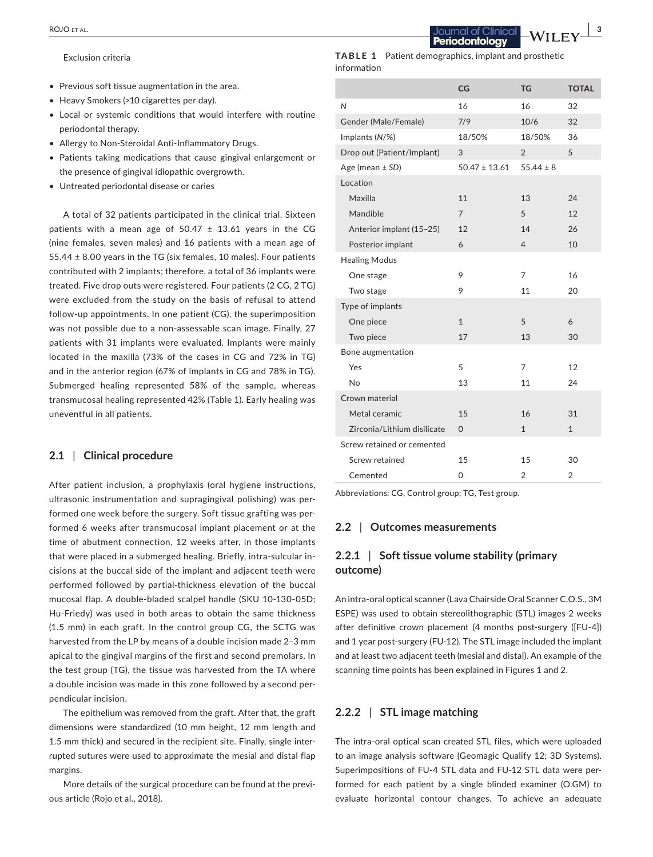Exclusion criteria

- Previous soft tissue augmentation in the area.
- Heavy Smokers (>10 cigarettes per day).
- Local or systemic conditions that would interfere with routine periodontal therapy.
- Allergy to Non-Steroidal Anti-Inflammatory Drugs.
- Patients taking medications that cause gingival enlargement or the presence of gingival idiopathic overgrowth.
- Untreated periodontal disease or caries

A total of 32 patients participated in the clinical trial. Sixteen patients with a mean age of  $50.47 \pm 13.61$  years in the CG (nine females, seven males) and 16 patients with a mean age of 55.44 ± 8.00 years in the TG (six females, 10 males). Four patients contributed with 2 implants; therefore, a total of 36 implants were treated. Five drop outs were registered. Four patients (2 CG, 2 TG) were excluded from the study on the basis of refusal to attend follow-up appointments. In one patient (CG), the superimposition was not possible due to a non-assessable scan image. Finally, 27 patients with 31 implants were evaluated. Implants were mainly located in the maxilla (73% of the cases in CG and 72% in TG) and in the anterior region (67% of implants in CG and 78% in TG). Submerged healing represented 58% of the sample, whereas transmucosal healing represented 42% (Table 1). Early healing was uneventful in all patients.

#### **2.1** | **Clinical procedure**

After patient inclusion, a prophylaxis (oral hygiene instructions, ultrasonic instrumentation and supragingival polishing) was performed one week before the surgery. Soft tissue grafting was performed 6 weeks after transmucosal implant placement or at the time of abutment connection, 12 weeks after, in those implants that were placed in a submerged healing. Briefly, intra-sulcular incisions at the buccal side of the implant and adjacent teeth were performed followed by partial-thickness elevation of the buccal mucosal flap. A double-bladed scalpel handle (SKU 10-130-05D; Hu-Friedy) was used in both areas to obtain the same thickness (1.5 mm) in each graft. In the control group CG, the SCTG was harvested from the LP by means of a double incision made 2–3 mm apical to the gingival margins of the first and second premolars. In the test group (TG), the tissue was harvested from the TA where a double incision was made in this zone followed by a second perpendicular incision.

The epithelium was removed from the graft. After that, the graft dimensions were standardized (10 mm height, 12 mm length and 1.5 mm thick) and secured in the recipient site. Finally, single interrupted sutures were used to approximate the mesial and distal flap margins.

More details of the surgical procedure can be found at the previous article (Rojo et al., 2018).

**TABLE 1** Patient demographics, implant and prosthetic information

|                             | CG                | TG             | <b>TOTAL</b>   |
|-----------------------------|-------------------|----------------|----------------|
| N                           | 16                | 16             | 32             |
| Gender (Male/Female)        | 7/9               | 10/6           | 32             |
| Implants (N/%)              | 18/50%            | 18/50%         | 36             |
| Drop out (Patient/Implant)  | 3                 | $\overline{2}$ | 5              |
| Age (mean $\pm$ SD)         | $50.47 \pm 13.61$ | $55.44 \pm 8$  |                |
| Location                    |                   |                |                |
| Maxilla                     | 11                | 13             | 24             |
| Mandible                    | $\overline{7}$    | 5              | 12             |
| Anterior implant (15-25)    | 12                | 14             | 26             |
| Posterior implant           | 6                 | $\overline{4}$ | 10             |
| <b>Healing Modus</b>        |                   |                |                |
| One stage                   | 9                 | 7              | 16             |
| Two stage                   | 9                 | 11             | 20             |
| Type of implants            |                   |                |                |
| One piece                   | $\mathbf{1}$      | 5              | 6              |
| Two piece                   | 17                | 13             | 30             |
| Bone augmentation           |                   |                |                |
| Yes                         | 5                 | 7              | 12             |
| No                          | 13                | 11             | 24             |
| Crown material              |                   |                |                |
| Metal ceramic               | 15                | 16             | 31             |
| Zirconia/Lithium disilicate | $\Omega$          | $\mathbf{1}$   | $\mathbf{1}$   |
| Screw retained or cemented  |                   |                |                |
| Screw retained              | 15                | 15             | 30             |
| Cemented                    | 0                 | $\overline{2}$ | $\overline{2}$ |

Abbreviations: CG, Control group; TG, Test group.

#### **2.2** | **Outcomes measurements**

### **2.2.1** | **Soft tissue volume stability (primary outcome)**

An intra-oral optical scanner (Lava Chairside Oral Scanner C.O.S., 3M ESPE) was used to obtain stereolithographic (STL) images 2 weeks after definitive crown placement (4 months post-surgery ([FU-4]) and 1 year post-surgery (FU-12). The STL image included the implant and at least two adjacent teeth (mesial and distal). An example of the scanning time points has been explained in Figures 1 and 2.

#### **2.2.2** | **STL image matching**

The intra-oral optical scan created STL files, which were uploaded to an image analysis software (Geomagic Qualify 12; 3D Systems). Superimpositions of FU-4 STL data and FU-12 STL data were performed for each patient by a single blinded examiner (O.GM) to evaluate horizontal contour changes. To achieve an adequate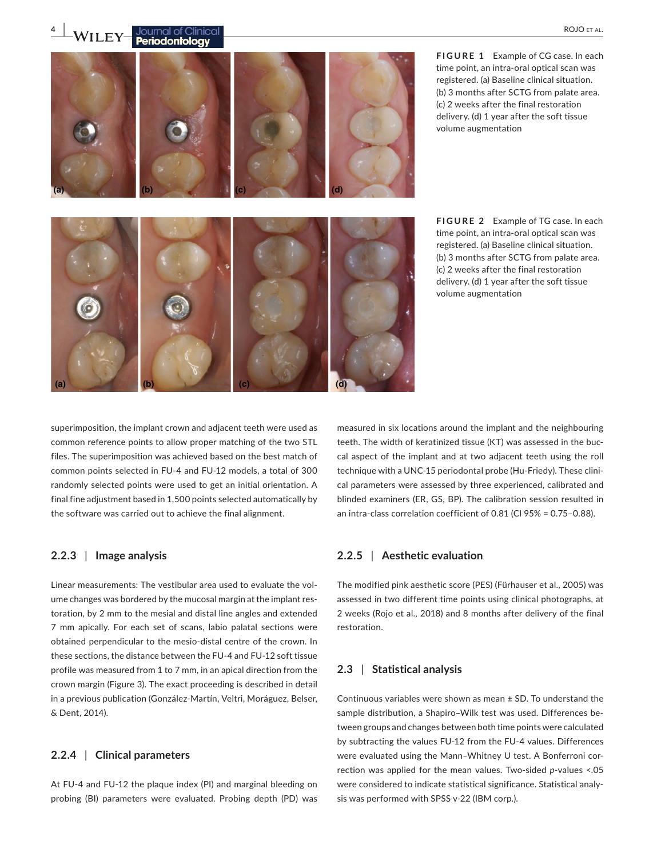**4**  $\frac{1}{2}$  **WII** EY **P** particularly **and the Clinical (a) (b) (c) (d) (a) (b) (c) (d)**

time point, an intra-oral optical scan was registered. (a) Baseline clinical situation. (b) 3 months after SCTG from palate area. (c) 2 weeks after the final restoration delivery. (d) 1 year after the soft tissue volume augmentation

**FIGURE 1** Example of CG case. In each

**FIGURE 2** Example of TG case. In each time point, an intra-oral optical scan was registered. (a) Baseline clinical situation. (b) 3 months after SCTG from palate area. (c) 2 weeks after the final restoration delivery. (d) 1 year after the soft tissue volume augmentation

superimposition, the implant crown and adjacent teeth were used as common reference points to allow proper matching of the two STL files. The superimposition was achieved based on the best match of common points selected in FU-4 and FU-12 models, a total of 300 randomly selected points were used to get an initial orientation. A final fine adjustment based in 1,500 points selected automatically by the software was carried out to achieve the final alignment.

#### **2.2.3** | **Image analysis**

Linear measurements: The vestibular area used to evaluate the volume changes was bordered by the mucosal margin at the implant restoration, by 2 mm to the mesial and distal line angles and extended 7 mm apically. For each set of scans, labio palatal sections were obtained perpendicular to the mesio-distal centre of the crown. In these sections, the distance between the FU-4 and FU-12 soft tissue profile was measured from 1 to 7 mm, in an apical direction from the crown margin (Figure 3). The exact proceeding is described in detail in a previous publication (González-Martín, Veltri, Moráguez, Belser, & Dent, 2014).

### **2.2.4** | **Clinical parameters**

At FU-4 and FU-12 the plaque index (PI) and marginal bleeding on probing (BI) parameters were evaluated. Probing depth (PD) was measured in six locations around the implant and the neighbouring teeth. The width of keratinized tissue (KT) was assessed in the buccal aspect of the implant and at two adjacent teeth using the roll technique with a UNC-15 periodontal probe (Hu-Friedy). These clinical parameters were assessed by three experienced, calibrated and blinded examiners (ER, GS, BP). The calibration session resulted in an intra-class correlation coefficient of 0.81 (CI 95% = 0.75–0.88).

#### **2.2.5** | **Aesthetic evaluation**

The modified pink aesthetic score (PES) (Fürhauser et al., 2005) was assessed in two different time points using clinical photographs, at 2 weeks (Rojo et al., 2018) and 8 months after delivery of the final restoration.

### **2.3** | **Statistical analysis**

Continuous variables were shown as mean ± SD. To understand the sample distribution, a Shapiro–Wilk test was used. Differences between groups and changes between both time points were calculated by subtracting the values FU-12 from the FU-4 values. Differences were evaluated using the Mann–Whitney U test. A Bonferroni correction was applied for the mean values. Two-sided *p*-values <.05 were considered to indicate statistical significance. Statistical analysis was performed with SPSS v-22 (IBM corp.).

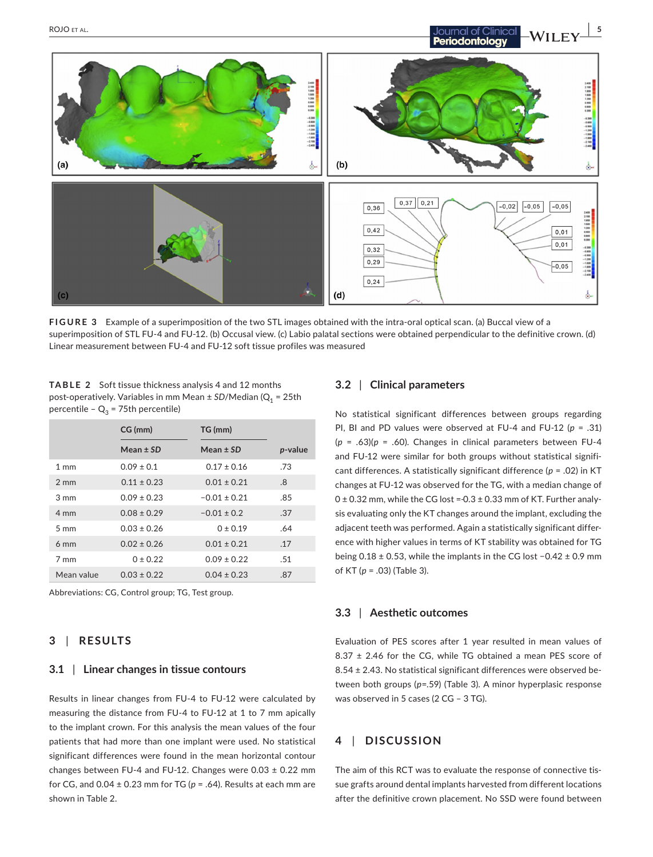

**FIGURE 3** Example of a superimposition of the two STL images obtained with the intra-oral optical scan. (a) Buccal view of a superimposition of STL FU-4 and FU-12. (b) Occusal view. (c) Labio palatal sections were obtained perpendicular to the definitive crown. (d) Linear measurement between FU-4 and FU-12 soft tissue profiles was measured

**TABLE 2** Soft tissue thickness analysis 4 and 12 months post-operatively. Variables in mm Mean ± *SD*/Median (Q<sub>1</sub> = 25th percentile –  $Q_3$  = 75th percentile)

|                | CG (mm)         | TG (mm)          |         |
|----------------|-----------------|------------------|---------|
|                | Mean $\pm$ SD   | Mean $\pm$ SD    | p-value |
| $1 \text{ mm}$ | $0.09 \pm 0.1$  | $0.17 \pm 0.16$  | .73     |
| $2 \text{ mm}$ | $0.11 \pm 0.23$ | $0.01 \pm 0.21$  | .8      |
| $3 \text{ mm}$ | $0.09 \pm 0.23$ | $-0.01 \pm 0.21$ | .85     |
| $4 \text{ mm}$ | $0.08 \pm 0.29$ | $-0.01 \pm 0.2$  | .37     |
| $5 \text{ mm}$ | $0.03 \pm 0.26$ | $0 \pm 0.19$     | .64     |
| $6 \text{ mm}$ | $0.02 \pm 0.26$ | $0.01 \pm 0.21$  | .17     |
| 7 mm           | $0 \pm 0.22$    | $0.09 \pm 0.22$  | .51     |
| Mean value     | $0.03 \pm 0.22$ | $0.04 \pm 0.23$  | .87     |

Abbreviations: CG, Control group; TG, Test group.

### **3** | **RESULTS**

#### **3.1** | **Linear changes in tissue contours**

Results in linear changes from FU-4 to FU-12 were calculated by measuring the distance from FU-4 to FU-12 at 1 to 7 mm apically to the implant crown. For this analysis the mean values of the four patients that had more than one implant were used. No statistical significant differences were found in the mean horizontal contour changes between FU-4 and FU-12. Changes were  $0.03 \pm 0.22$  mm for CG, and  $0.04 \pm 0.23$  mm for TG ( $p = .64$ ). Results at each mm are shown in Table 2.

#### **3.2** | **Clinical parameters**

No statistical significant differences between groups regarding PI, BI and PD values were observed at FU-4 and FU-12 (*p* = .31)  $(p = .63)(p = .60)$ . Changes in clinical parameters between FU-4 and FU-12 were similar for both groups without statistical significant differences. A statistically significant difference (*p* = .02) in KT changes at FU-12 was observed for the TG, with a median change of  $0 \pm 0.32$  mm, while the CG lost =  $-0.3 \pm 0.33$  mm of KT. Further analysis evaluating only the KT changes around the implant, excluding the adjacent teeth was performed. Again a statistically significant difference with higher values in terms of KT stability was obtained for TG being 0.18 ± 0.53, while the implants in the CG lost −0.42 ± 0.9 mm of KT (*p* = .03) (Table 3).

#### **3.3** | **Aesthetic outcomes**

Evaluation of PES scores after 1 year resulted in mean values of 8.37 ± 2.46 for the CG, while TG obtained a mean PES score of 8.54 ± 2.43. No statistical significant differences were observed between both groups (*p*=.59) (Table 3). A minor hyperplasic response was observed in 5 cases (2 CG – 3 TG).

### **4** | **DISCUSSION**

The aim of this RCT was to evaluate the response of connective tissue grafts around dental implants harvested from different locations after the definitive crown placement. No SSD were found between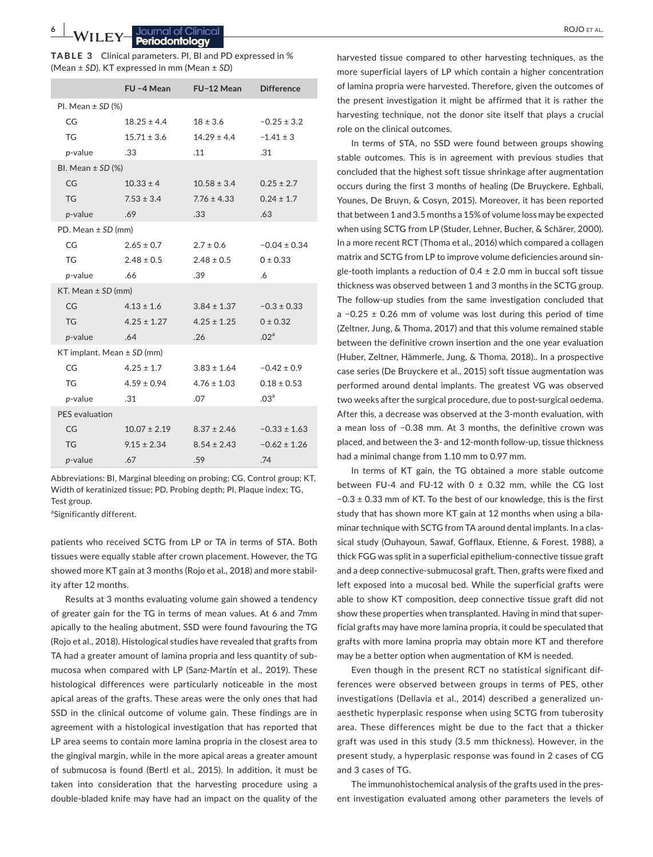| <b>TABLE 3</b> Clinical parameters. PI, BI and PD expressed in % |
|------------------------------------------------------------------|
| (Mean ± SD). KT expressed in mm (Mean ± SD)                      |

|                                | FU-4 Mean        | FU-12 Mean      | <b>Difference</b> |  |  |  |
|--------------------------------|------------------|-----------------|-------------------|--|--|--|
| PI. Mean $\pm$ SD (%)          |                  |                 |                   |  |  |  |
| CG                             | $18.25 \pm 4.4$  | $18 \pm 3.6$    | $-0.25 \pm 3.2$   |  |  |  |
| <b>TG</b>                      | $15.71 \pm 3.6$  | $14.29 \pm 4.4$ | $-1.41 \pm 3$     |  |  |  |
| p-value                        | .33              | .11             | .31               |  |  |  |
| BI. Mean $\pm$ SD (%)          |                  |                 |                   |  |  |  |
| CG                             | $10.33 \pm 4$    | $10.58 \pm 3.4$ | $0.25 \pm 2.7$    |  |  |  |
| <b>TG</b>                      | $7.53 \pm 3.4$   | $7.76 \pm 4.33$ | $0.24 \pm 1.7$    |  |  |  |
| p-value                        | .69              | .33             | .63               |  |  |  |
| PD. Mean $\pm$ SD (mm)         |                  |                 |                   |  |  |  |
| CG                             | $2.65 \pm 0.7$   | $2.7 \pm 0.6$   | $-0.04 \pm 0.34$  |  |  |  |
| TG                             | $2.48 \pm 0.5$   | $2.48 \pm 0.5$  | $0 \pm 0.33$      |  |  |  |
| p-value                        | .66              | .39             | .6                |  |  |  |
| KT. Mean $\pm$ SD (mm)         |                  |                 |                   |  |  |  |
| CG                             | $4.13 \pm 1.6$   | $3.84 \pm 1.37$ | $-0.3 \pm 0.33$   |  |  |  |
| <b>TG</b>                      | $4.25 \pm 1.27$  | $4.25 \pm 1.25$ | $0 \pm 0.32$      |  |  |  |
| $p$ -value                     | .64              | .26             | .02 <sup>a</sup>  |  |  |  |
| KT implant. Mean $\pm$ SD (mm) |                  |                 |                   |  |  |  |
| CG                             | $4.25 \pm 1.7$   | $3.83 \pm 1.64$ | $-0.42 \pm 0.9$   |  |  |  |
| TG                             | $4.59 \pm 0.94$  | $4.76 \pm 1.03$ | $0.18 \pm 0.53$   |  |  |  |
| $p$ -value                     | .31              | .07             | .03 <sup>a</sup>  |  |  |  |
| PES evaluation                 |                  |                 |                   |  |  |  |
| CG                             | $10.07 \pm 2.19$ | $8.37 \pm 2.46$ | $-0.33 \pm 1.63$  |  |  |  |
| <b>TG</b>                      | $9.15 \pm 2.34$  | $8.54 \pm 2.43$ | $-0.62 \pm 1.26$  |  |  |  |
| p-value                        | .67              | .59             | .74               |  |  |  |

Abbreviations: BI, Marginal bleeding on probing; CG, Control group; KT, Width of keratinized tissue; PD, Probing depth; PI, Plaque index; TG, Test group.

<sup>a</sup>Significantly different.

patients who received SCTG from LP or TA in terms of STA. Both tissues were equally stable after crown placement. However, the TG showed more KT gain at 3 months (Rojo et al., 2018) and more stability after 12 months.

Results at 3 months evaluating volume gain showed a tendency of greater gain for the TG in terms of mean values. At 6 and 7mm apically to the healing abutment, SSD were found favouring the TG (Rojo et al., 2018). Histological studies have revealed that grafts from TA had a greater amount of lamina propria and less quantity of submucosa when compared with LP (Sanz-Martín et al., 2019). These histological differences were particularly noticeable in the most apical areas of the grafts. These areas were the only ones that had SSD in the clinical outcome of volume gain. These findings are in agreement with a histological investigation that has reported that LP area seems to contain more lamina propria in the closest area to the gingival margin, while in the more apical areas a greater amount of submucosa is found (Bertl et al., 2015). In addition, it must be taken into consideration that the harvesting procedure using a double-bladed knife may have had an impact on the quality of the

harvested tissue compared to other harvesting techniques, as the more superficial layers of LP which contain a higher concentration of lamina propria were harvested. Therefore, given the outcomes of the present investigation it might be affirmed that it is rather the harvesting technique, not the donor site itself that plays a crucial role on the clinical outcomes.

In terms of STA, no SSD were found between groups showing stable outcomes. This is in agreement with previous studies that concluded that the highest soft tissue shrinkage after augmentation occurs during the first 3 months of healing (De Bruyckere, Eghbali, Younes, De Bruyn, & Cosyn, 2015). Moreover, it has been reported that between 1 and 3.5 months a 15% of volume loss may be expected when using SCTG from LP (Studer, Lehner, Bucher, & Schärer, 2000). In a more recent RCT (Thoma et al., 2016) which compared a collagen matrix and SCTG from LP to improve volume deficiencies around single-tooth implants a reduction of  $0.4 \pm 2.0$  mm in buccal soft tissue thickness was observed between 1 and 3 months in the SCTG group. The follow-up studies from the same investigation concluded that a −0.25 ± 0.26 mm of volume was lost during this period of time (Zeltner, Jung, & Thoma, 2017) and that this volume remained stable between the definitive crown insertion and the one year evaluation (Huber, Zeltner, Hämmerle, Jung, & Thoma, 2018).. In a prospective case series (De Bruyckere et al., 2015) soft tissue augmentation was performed around dental implants. The greatest VG was observed two weeks after the surgical procedure, due to post-surgical oedema. After this, a decrease was observed at the 3-month evaluation, with a mean loss of −0.38 mm. At 3 months, the definitive crown was placed, and between the 3- and 12-month follow-up, tissue thickness had a minimal change from 1.10 mm to 0.97 mm.

In terms of KT gain, the TG obtained a more stable outcome between FU-4 and FU-12 with  $0 \pm 0.32$  mm, while the CG lost −0.3 ± 0.33 mm of KT. To the best of our knowledge, this is the first study that has shown more KT gain at 12 months when using a bilaminar technique with SCTG from TA around dental implants. In a classical study (Ouhayoun, Sawaf, Gofflaux, Etienne, & Forest, 1988), a thick FGG was split in a superficial epithelium-connective tissue graft and a deep connective-submucosal graft. Then, grafts were fixed and left exposed into a mucosal bed. While the superficial grafts were able to show KT composition, deep connective tissue graft did not show these properties when transplanted. Having in mind that superficial grafts may have more lamina propria, it could be speculated that grafts with more lamina propria may obtain more KT and therefore may be a better option when augmentation of KM is needed.

Even though in the present RCT no statistical significant differences were observed between groups in terms of PES, other investigations (Dellavia et al., 2014) described a generalized unaesthetic hyperplasic response when using SCTG from tuberosity area. These differences might be due to the fact that a thicker graft was used in this study (3.5 mm thickness). However, in the present study, a hyperplasic response was found in 2 cases of CG and 3 cases of TG.

The immunohistochemical analysis of the grafts used in the present investigation evaluated among other parameters the levels of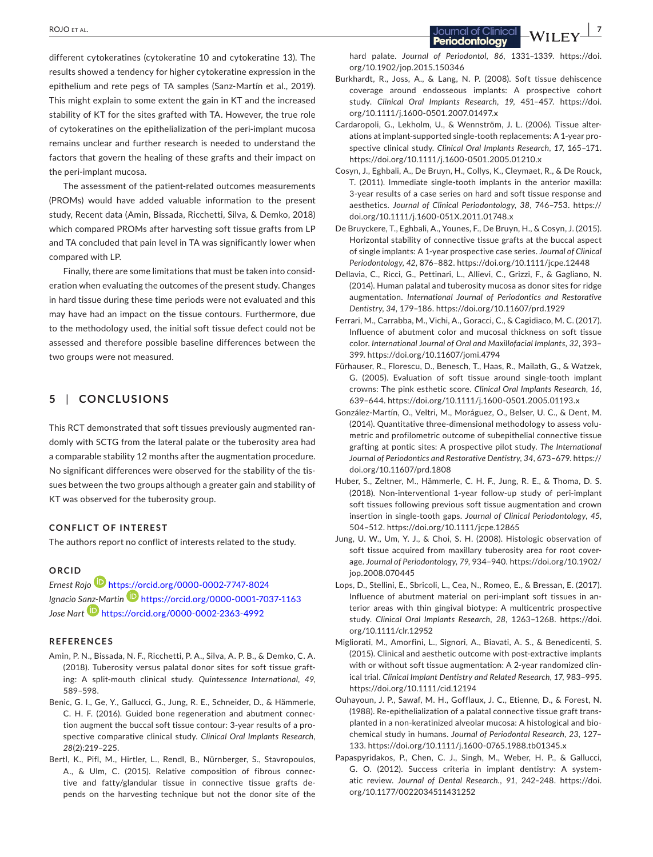different cytokeratines (cytokeratine 10 and cytokeratine 13). The results showed a tendency for higher cytokeratine expression in the epithelium and rete pegs of TA samples (Sanz-Martín et al., 2019). This might explain to some extent the gain in KT and the increased stability of KT for the sites grafted with TA. However, the true role of cytokeratines on the epithelialization of the peri-implant mucosa remains unclear and further research is needed to understand the factors that govern the healing of these grafts and their impact on the peri-implant mucosa.

The assessment of the patient-related outcomes measurements (PROMs) would have added valuable information to the present study, Recent data (Amin, Bissada, Ricchetti, Silva, & Demko, 2018) which compared PROMs after harvesting soft tissue grafts from LP and TA concluded that pain level in TA was significantly lower when compared with LP.

Finally, there are some limitations that must be taken into consideration when evaluating the outcomes of the present study. Changes in hard tissue during these time periods were not evaluated and this may have had an impact on the tissue contours. Furthermore, due to the methodology used, the initial soft tissue defect could not be assessed and therefore possible baseline differences between the two groups were not measured.

#### **5** | **CONCLUSIONS**

This RCT demonstrated that soft tissues previously augmented randomly with SCTG from the lateral palate or the tuberosity area had a comparable stability 12 months after the augmentation procedure. No significant differences were observed for the stability of the tissues between the two groups although a greater gain and stability of KT was observed for the tuberosity group.

#### **CONFLICT OF INTEREST**

The authors report no conflict of interests related to the study.

#### **ORCID**

*Ernest Roj[o](https://orcid.org/0000-0002-7747-8024)* <https://orcid.org/0000-0002-7747-8024> *Ignacio S[anz-M](https://orcid.org/0000-0002-2363-4992)artin* <https://orcid.org/0000-0001-7037-1163> *Jose Nart* <https://orcid.org/0000-0002-2363-4992>

#### **REFERENCES**

- Amin, P. N., Bissada, N. F., Ricchetti, P. A., Silva, A. P. B., & Demko, C. A. (2018). Tuberosity versus palatal donor sites for soft tissue grafting: A split-mouth clinical study. *Quintessence International*, *49*, 589–598.
- Benic, G. I., Ge, Y., Gallucci, G., Jung, R. E., Schneider, D., & Hämmerle, C. H. F. (2016). Guided bone regeneration and abutment connection augment the buccal soft tissue contour: 3-year results of a prospective comparative clinical study. *Clinical Oral Implants Research*, *28*(2):219–225.
- Bertl, K., Pifl, M., Hirtler, L., Rendl, B., Nürnberger, S., Stavropoulos, A., & Ulm, C. (2015). Relative composition of fibrous connective and fatty/glandular tissue in connective tissue grafts depends on the harvesting technique but not the donor site of the

hard palate. *Journal of Periodontol*, *86*, 1331–1339. [https://doi.](https://doi.org/10.1902/jop.2015.150346) [org/10.1902/jop.2015.150346](https://doi.org/10.1902/jop.2015.150346)

Periodontology

- Burkhardt, R., Joss, A., & Lang, N. P. (2008). Soft tissue dehiscence coverage around endosseous implants: A prospective cohort study. *Clinical Oral Implants Research*, *19*, 451–457. [https://doi.](https://doi.org/10.1111/j.1600-0501.2007.01497.x) [org/10.1111/j.1600-0501.2007.01497.x](https://doi.org/10.1111/j.1600-0501.2007.01497.x)
- Cardaropoli, G., Lekholm, U., & Wennström, J. L. (2006). Tissue alterations at implant-supported single-tooth replacements: A 1-year prospective clinical study. *Clinical Oral Implants Research*, *17*, 165–171. <https://doi.org/10.1111/j.1600-0501.2005.01210.x>
- Cosyn, J., Eghbali, A., De Bruyn, H., Collys, K., Cleymaet, R., & De Rouck, T. (2011). Immediate single-tooth implants in the anterior maxilla: 3-year results of a case series on hard and soft tissue response and aesthetics. *Journal of Clinical Periodontology*, *38*, 746–753. [https://](https://doi.org/10.1111/j.1600-051X.2011.01748.x) [doi.org/10.1111/j.1600-051X.2011.01748.x](https://doi.org/10.1111/j.1600-051X.2011.01748.x)
- De Bruyckere, T., Eghbali, A., Younes, F., De Bruyn, H., & Cosyn, J. (2015). Horizontal stability of connective tissue grafts at the buccal aspect of single implants: A 1-year prospective case series. *Journal of Clinical Periodontology*, *42*, 876–882. <https://doi.org/10.1111/jcpe.12448>
- Dellavia, C., Ricci, G., Pettinari, L., Allievi, C., Grizzi, F., & Gagliano, N. (2014). Human palatal and tuberosity mucosa as donor sites for ridge augmentation. *International Journal of Periodontics and Restorative Dentistry*, *34*, 179–186. <https://doi.org/10.11607/prd.1929>
- Ferrari, M., Carrabba, M., Vichi, A., Goracci, C., & Cagidiaco, M. C. (2017). Influence of abutment color and mucosal thickness on soft tissue color. *International Journal of Oral and Maxillofacial Implants*, *32*, 393– 399.<https://doi.org/10.11607/jomi.4794>
- Fürhauser, R., Florescu, D., Benesch, T., Haas, R., Mailath, G., & Watzek, G. (2005). Evaluation of soft tissue around single-tooth implant crowns: The pink esthetic score. *Clinical Oral Implants Research*, *16*, 639–644. <https://doi.org/10.1111/j.1600-0501.2005.01193.x>
- González-Martín, O., Veltri, M., Moráguez, O., Belser, U. C., & Dent, M. (2014). Quantitative three-dimensional methodology to assess volumetric and profilometric outcome of subepithelial connective tissue grafting at pontic sites: A prospective pilot study. *The International Journal of Periodontics and Restorative Dentistry*, *34*, 673–679. [https://](https://doi.org/10.11607/prd.1808) [doi.org/10.11607/prd.1808](https://doi.org/10.11607/prd.1808)
- Huber, S., Zeltner, M., Hämmerle, C. H. F., Jung, R. E., & Thoma, D. S. (2018). Non-interventional 1-year follow-up study of peri-implant soft tissues following previous soft tissue augmentation and crown insertion in single-tooth gaps. *Journal of Clinical Periodontology*, *45*, 504–512.<https://doi.org/10.1111/jcpe.12865>
- Jung, U. W., Um, Y. J., & Choi, S. H. (2008). Histologic observation of soft tissue acquired from maxillary tuberosity area for root coverage. *Journal of Periodontology*, *79*, 934–940. [https://doi.org/10.1902/](https://doi.org/10.1902/jop.2008.070445) [jop.2008.070445](https://doi.org/10.1902/jop.2008.070445)
- Lops, D., Stellini, E., Sbricoli, L., Cea, N., Romeo, E., & Bressan, E. (2017). Influence of abutment material on peri-implant soft tissues in anterior areas with thin gingival biotype: A multicentric prospective study. *Clinical Oral Implants Research*, *28*, 1263–1268. [https://doi.](https://doi.org/10.1111/clr.12952) [org/10.1111/clr.12952](https://doi.org/10.1111/clr.12952)
- Migliorati, M., Amorfini, L., Signori, A., Biavati, A. S., & Benedicenti, S. (2015). Clinical and aesthetic outcome with post-extractive implants with or without soft tissue augmentation: A 2-year randomized clinical trial. *Clinical Implant Dentistry and Related Research*, *17*, 983–995. <https://doi.org/10.1111/cid.12194>
- Ouhayoun, J. P., Sawaf, M. H., Gofflaux, J. C., Etienne, D., & Forest, N. (1988). Re-epithelialization of a palatal connective tissue graft transplanted in a non-keratinized alveolar mucosa: A histological and biochemical study in humans. *Journal of Periodontal Research*, *23*, 127– 133. <https://doi.org/10.1111/j.1600-0765.1988.tb01345.x>
- Papaspyridakos, P., Chen, C. J., Singh, M., Weber, H. P., & Gallucci, G. O. (2012). Success criteria in implant dentistry: A systematic review. *Journal of Dental Research.*, *91*, 242–248. [https://doi.](https://doi.org/10.1177/0022034511431252) [org/10.1177/0022034511431252](https://doi.org/10.1177/0022034511431252)